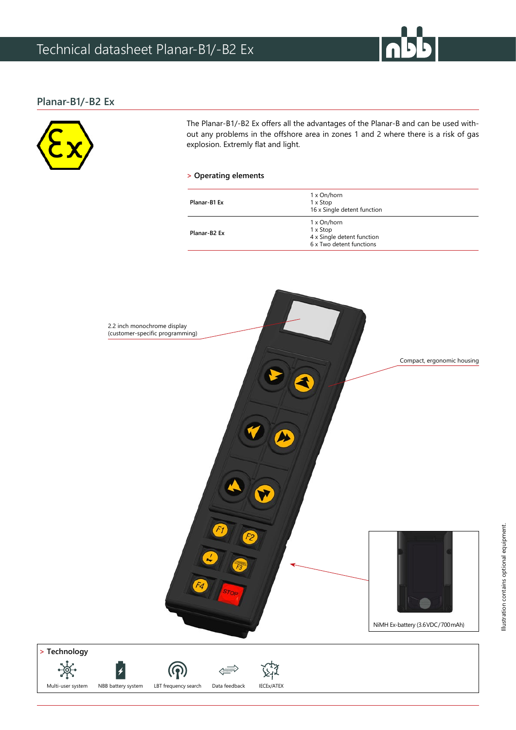## **Planar-B1/-B2 Ex**



The Planar-B1/-B2 Ex offers all the advantages of the Planar-B and can be used without any problems in the offshore area in zones 1 and 2 where there is a risk of gas explosion. Extremly flat and light.

### **> Operating elements**

| Planar-B1 Ex             | 1 x On/horn<br>1 x Stop<br>16 x Single detent function                            |
|--------------------------|-----------------------------------------------------------------------------------|
| Planar-B <sub>2</sub> Ex | 1 x On/horn<br>1 x Stop<br>4 x Single detent function<br>6 x Two detent functions |